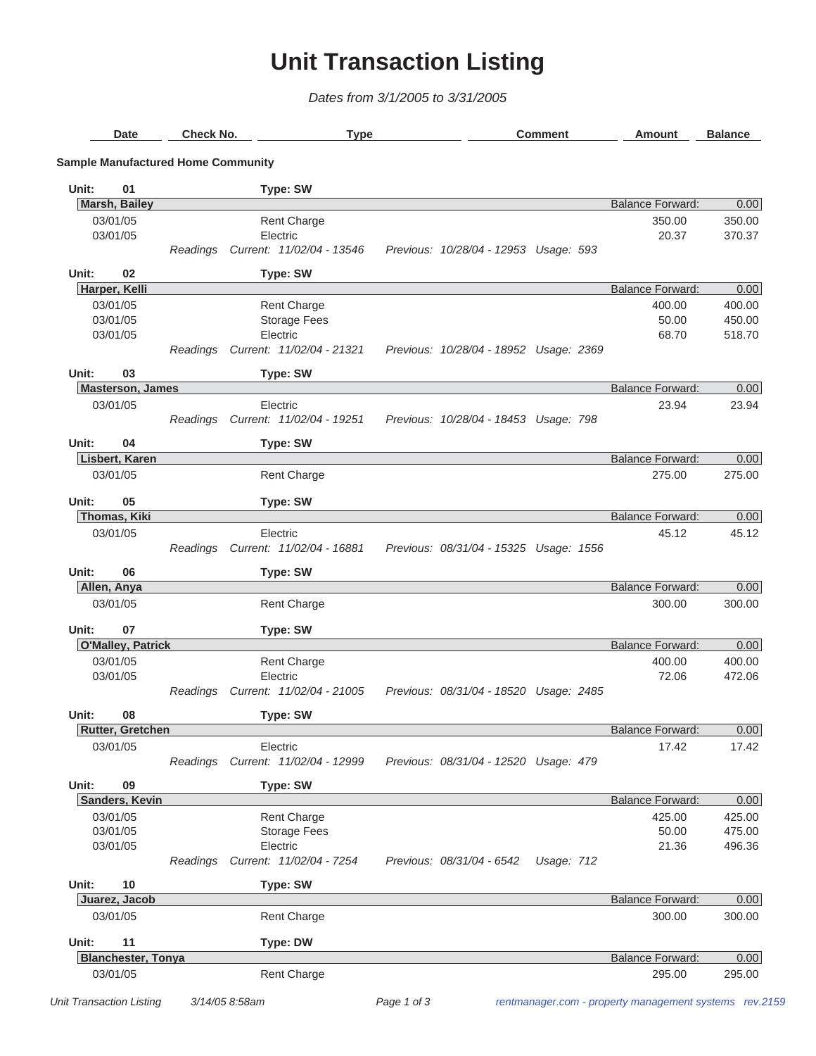## **Unit Transaction Listing**

*Dates from 3/1/2005 to 3/31/2005*

| <b>Date</b> |                           | Check No.                                 |                           | <b>Type</b> |                                        | <b>Comment</b> |            |  | Amount                  | <b>Balance</b> |
|-------------|---------------------------|-------------------------------------------|---------------------------|-------------|----------------------------------------|----------------|------------|--|-------------------------|----------------|
|             |                           | <b>Sample Manufactured Home Community</b> |                           |             |                                        |                |            |  |                         |                |
| Unit:       | 01                        |                                           | <b>Type: SW</b>           |             |                                        |                |            |  |                         |                |
|             | <b>Marsh, Bailey</b>      |                                           |                           |             |                                        |                |            |  | <b>Balance Forward:</b> | 0.00           |
|             | 03/01/05                  |                                           | <b>Rent Charge</b>        |             |                                        |                |            |  | 350.00                  | 350.00         |
|             | 03/01/05                  |                                           | Electric                  |             |                                        |                |            |  | 20.37                   | 370.37         |
|             |                           | Readings                                  | Current: 11/02/04 - 13546 |             | Previous: 10/28/04 - 12953 Usage: 593  |                |            |  |                         |                |
| Unit:       | 02                        |                                           | <b>Type: SW</b>           |             |                                        |                |            |  |                         |                |
|             | Harper, Kelli             |                                           |                           |             |                                        |                |            |  | <b>Balance Forward:</b> | 0.00           |
|             | 03/01/05                  |                                           | <b>Rent Charge</b>        |             |                                        |                |            |  | 400.00                  | 400.00         |
|             | 03/01/05                  |                                           | <b>Storage Fees</b>       |             |                                        |                |            |  | 50.00                   | 450.00         |
|             | 03/01/05                  |                                           | Electric                  |             |                                        |                |            |  | 68.70                   | 518.70         |
|             |                           | Readings                                  | Current: 11/02/04 - 21321 |             | Previous: 10/28/04 - 18952 Usage: 2369 |                |            |  |                         |                |
| Unit:       | 03                        |                                           | <b>Type: SW</b>           |             |                                        |                |            |  |                         |                |
|             | <b>Masterson, James</b>   |                                           |                           |             |                                        |                |            |  | <b>Balance Forward:</b> | 0.00           |
|             | 03/01/05                  |                                           | Electric                  |             |                                        |                |            |  | 23.94                   | 23.94          |
|             |                           | Readings                                  | Current: 11/02/04 - 19251 |             | Previous: 10/28/04 - 18453 Usage: 798  |                |            |  |                         |                |
|             |                           |                                           |                           |             |                                        |                |            |  |                         |                |
| Unit:       | 04                        |                                           | <b>Type: SW</b>           |             |                                        |                |            |  |                         |                |
|             | Lisbert, Karen            |                                           |                           |             |                                        |                |            |  | <b>Balance Forward:</b> | 0.00           |
|             | 03/01/05                  |                                           | <b>Rent Charge</b>        |             |                                        |                |            |  | 275.00                  | 275.00         |
| Unit:       | 05                        |                                           | <b>Type: SW</b>           |             |                                        |                |            |  |                         |                |
|             | <b>Thomas, Kiki</b>       |                                           |                           |             |                                        |                |            |  | <b>Balance Forward:</b> | 0.00           |
|             | 03/01/05                  |                                           | Electric                  |             |                                        |                |            |  | 45.12                   | 45.12          |
|             |                           | Readings                                  | Current: 11/02/04 - 16881 |             | Previous: 08/31/04 - 15325 Usage: 1556 |                |            |  |                         |                |
| Unit:       | 06                        |                                           | <b>Type: SW</b>           |             |                                        |                |            |  |                         |                |
|             | Allen, Anya               |                                           |                           |             |                                        |                |            |  | <b>Balance Forward:</b> | 0.00           |
|             | 03/01/05                  |                                           | <b>Rent Charge</b>        |             |                                        |                |            |  | 300.00                  | 300.00         |
| Unit:       | 07                        |                                           | <b>Type: SW</b>           |             |                                        |                |            |  |                         |                |
|             | <b>O'Malley, Patrick</b>  |                                           |                           |             |                                        |                |            |  | <b>Balance Forward:</b> | 0.00           |
|             | 03/01/05                  |                                           | <b>Rent Charge</b>        |             |                                        |                |            |  | 400.00                  | 400.00         |
|             | 03/01/05                  |                                           | Electric                  |             |                                        |                |            |  | 72.06                   | 472.06         |
|             |                           | Readings                                  | Current: 11/02/04 - 21005 |             | Previous: 08/31/04 - 18520 Usage: 2485 |                |            |  |                         |                |
| Unit:       | 08                        |                                           | <b>Type: SW</b>           |             |                                        |                |            |  |                         |                |
|             | <b>Rutter, Gretchen</b>   |                                           |                           |             |                                        |                |            |  | <b>Balance Forward:</b> | 0.00           |
|             | 03/01/05                  |                                           | Electric                  |             |                                        |                |            |  | 17.42                   | 17.42          |
|             |                           | Readings                                  | Current: 11/02/04 - 12999 |             | Previous: 08/31/04 - 12520 Usage: 479  |                |            |  |                         |                |
|             |                           |                                           |                           |             |                                        |                |            |  |                         |                |
| Unit:       | 09                        |                                           | <b>Type: SW</b>           |             |                                        |                |            |  |                         |                |
|             | Sanders, Kevin            |                                           |                           |             |                                        |                |            |  | <b>Balance Forward:</b> | 0.00           |
|             | 03/01/05                  |                                           | Rent Charge               |             |                                        |                |            |  | 425.00                  | 425.00         |
|             | 03/01/05                  |                                           | <b>Storage Fees</b>       |             |                                        |                |            |  | 50.00                   | 475.00         |
|             | 03/01/05                  |                                           | Electric                  |             |                                        |                |            |  | 21.36                   | 496.36         |
|             |                           | Readings                                  | Current: 11/02/04 - 7254  |             | Previous: 08/31/04 - 6542              |                | Usage: 712 |  |                         |                |
| Unit:       | 10                        |                                           | <b>Type: SW</b>           |             |                                        |                |            |  |                         |                |
|             | Juarez, Jacob             |                                           |                           |             |                                        |                |            |  | <b>Balance Forward:</b> | 0.00           |
|             | 03/01/05                  |                                           | <b>Rent Charge</b>        |             |                                        |                |            |  | 300.00                  | 300.00         |
| Unit:       | 11                        |                                           | <b>Type: DW</b>           |             |                                        |                |            |  |                         |                |
|             | <b>Blanchester, Tonya</b> |                                           |                           |             |                                        |                |            |  | <b>Balance Forward:</b> | 0.00           |
|             | 03/01/05                  |                                           | <b>Rent Charge</b>        |             |                                        |                |            |  | 295.00                  | 295.00         |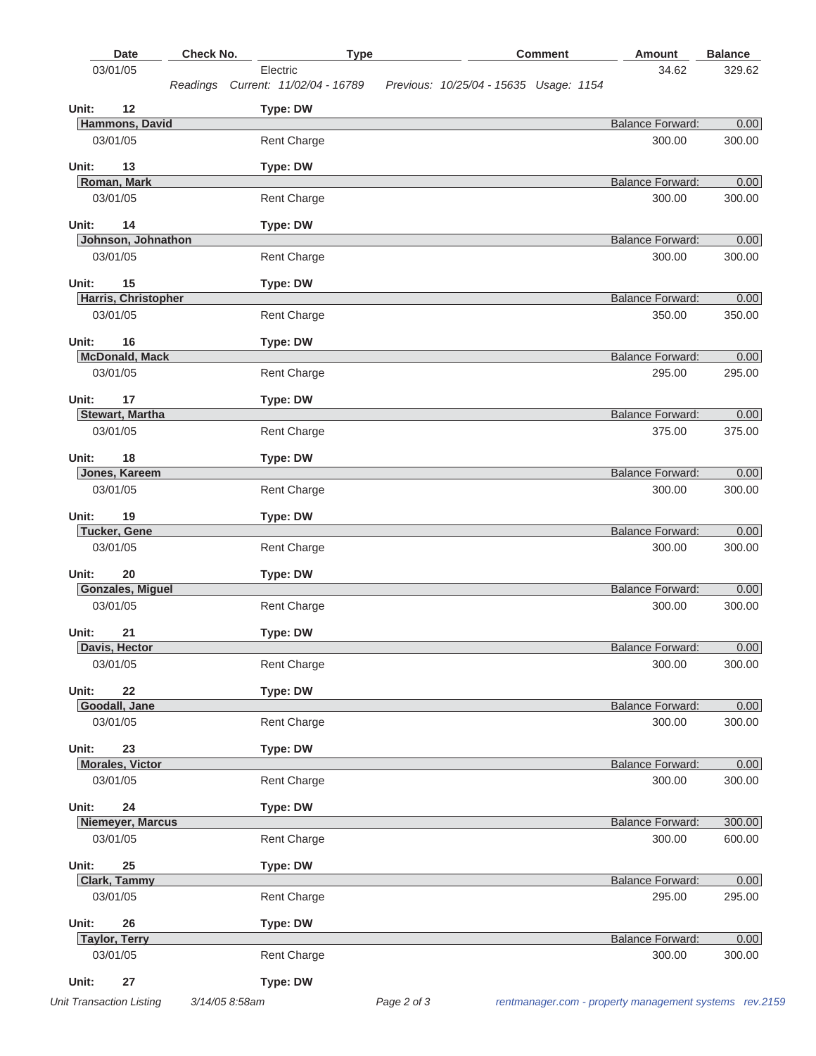|       | <b>Date</b>                        | Check No. |                                                | <b>Type</b> |                                        | <b>Comment</b> | Amount                            | <b>Balance</b> |
|-------|------------------------------------|-----------|------------------------------------------------|-------------|----------------------------------------|----------------|-----------------------------------|----------------|
|       | 03/01/05                           |           | Electric<br>Readings Current: 11/02/04 - 16789 |             | Previous: 10/25/04 - 15635 Usage: 1154 |                | 34.62                             | 329.62         |
| Unit: | 12                                 |           | Type: DW                                       |             |                                        |                |                                   |                |
|       | Hammons, David                     |           |                                                |             |                                        |                | <b>Balance Forward:</b>           | 0.00           |
|       | 03/01/05                           |           | <b>Rent Charge</b>                             |             |                                        |                | 300.00                            | 300.00         |
| Unit: | 13                                 |           | <b>Type: DW</b>                                |             |                                        |                |                                   |                |
|       | Roman, Mark                        |           |                                                |             |                                        |                | <b>Balance Forward:</b>           | 0.00           |
|       | 03/01/05                           |           | <b>Rent Charge</b>                             |             |                                        |                | 300.00                            | 300.00         |
| Unit: | 14                                 |           | Type: DW                                       |             |                                        |                |                                   |                |
|       | Johnson, Johnathon                 |           |                                                |             |                                        |                | <b>Balance Forward:</b>           | 0.00           |
|       | 03/01/05                           |           | Rent Charge                                    |             |                                        |                | 300.00                            | 300.00         |
| Unit: | 15                                 |           | Type: DW                                       |             |                                        |                |                                   |                |
|       | Harris, Christopher                |           |                                                |             |                                        |                | <b>Balance Forward:</b>           | 0.00           |
|       | 03/01/05                           |           | <b>Rent Charge</b>                             |             |                                        |                | 350.00                            | 350.00         |
| Unit: | 16                                 |           | Type: DW                                       |             |                                        |                |                                   |                |
|       | <b>McDonald, Mack</b>              |           |                                                |             |                                        |                | <b>Balance Forward:</b>           | 0.00           |
|       | 03/01/05                           |           | <b>Rent Charge</b>                             |             |                                        |                | 295.00                            | 295.00         |
| Unit: | 17                                 |           | Type: DW                                       |             |                                        |                |                                   |                |
|       | <b>Stewart, Martha</b>             |           |                                                |             |                                        |                | <b>Balance Forward:</b>           | 0.00           |
|       | 03/01/05                           |           | <b>Rent Charge</b>                             |             |                                        |                | 375.00                            | 375.00         |
| Unit: | 18                                 |           | Type: DW                                       |             |                                        |                |                                   |                |
|       | Jones, Kareem<br>03/01/05          |           |                                                |             |                                        |                | <b>Balance Forward:</b><br>300.00 | 0.00<br>300.00 |
|       |                                    |           | <b>Rent Charge</b>                             |             |                                        |                |                                   |                |
| Unit: | 19<br><b>Tucker, Gene</b>          |           | Type: DW                                       |             |                                        |                | <b>Balance Forward:</b>           | 0.00           |
|       | 03/01/05                           |           | <b>Rent Charge</b>                             |             |                                        |                | 300.00                            | 300.00         |
|       |                                    |           |                                                |             |                                        |                |                                   |                |
| Unit: | 20<br><b>Gonzales, Miguel</b>      |           | Type: DW                                       |             |                                        |                | <b>Balance Forward:</b>           | 0.00           |
|       | 03/01/05                           |           | <b>Rent Charge</b>                             |             |                                        |                | 300.00                            | 300.00         |
|       |                                    |           |                                                |             |                                        |                |                                   |                |
| Unit: | 21<br>Davis, Hector                |           | Type: DW                                       |             |                                        |                | <b>Balance Forward:</b>           | 0.00           |
|       | 03/01/05                           |           | Rent Charge                                    |             |                                        |                | 300.00                            | 300.00         |
|       |                                    |           |                                                |             |                                        |                |                                   |                |
| Unit: | 22                                 |           | Type: DW                                       |             |                                        |                |                                   |                |
|       | Goodall, Jane<br>03/01/05          |           | Rent Charge                                    |             |                                        |                | <b>Balance Forward:</b><br>300.00 | 0.00<br>300.00 |
|       |                                    |           |                                                |             |                                        |                |                                   |                |
| Unit: | 23                                 |           | Type: DW                                       |             |                                        |                |                                   |                |
|       | <b>Morales, Victor</b><br>03/01/05 |           | Rent Charge                                    |             |                                        |                | <b>Balance Forward:</b><br>300.00 | 0.00           |
|       |                                    |           |                                                |             |                                        |                |                                   | 300.00         |
| Unit: | 24                                 |           | <b>Type: DW</b>                                |             |                                        |                |                                   |                |
|       | Niemeyer, Marcus                   |           |                                                |             |                                        |                | <b>Balance Forward:</b>           | 300.00         |
|       | 03/01/05                           |           | <b>Rent Charge</b>                             |             |                                        |                | 300.00                            | 600.00         |
| Unit: | 25                                 |           | Type: DW                                       |             |                                        |                |                                   |                |
|       | <b>Clark, Tammy</b>                |           |                                                |             |                                        |                | <b>Balance Forward:</b>           | 0.00           |
|       | 03/01/05                           |           | Rent Charge                                    |             |                                        |                | 295.00                            | 295.00         |
| Unit: | 26                                 |           | Type: DW                                       |             |                                        |                |                                   |                |
|       | <b>Taylor, Terry</b>               |           |                                                |             |                                        |                | <b>Balance Forward:</b>           | 0.00           |
|       | 03/01/05                           |           | <b>Rent Charge</b>                             |             |                                        |                | 300.00                            | 300.00         |
| Unit: | 27                                 |           | Type: DW                                       |             |                                        |                |                                   |                |